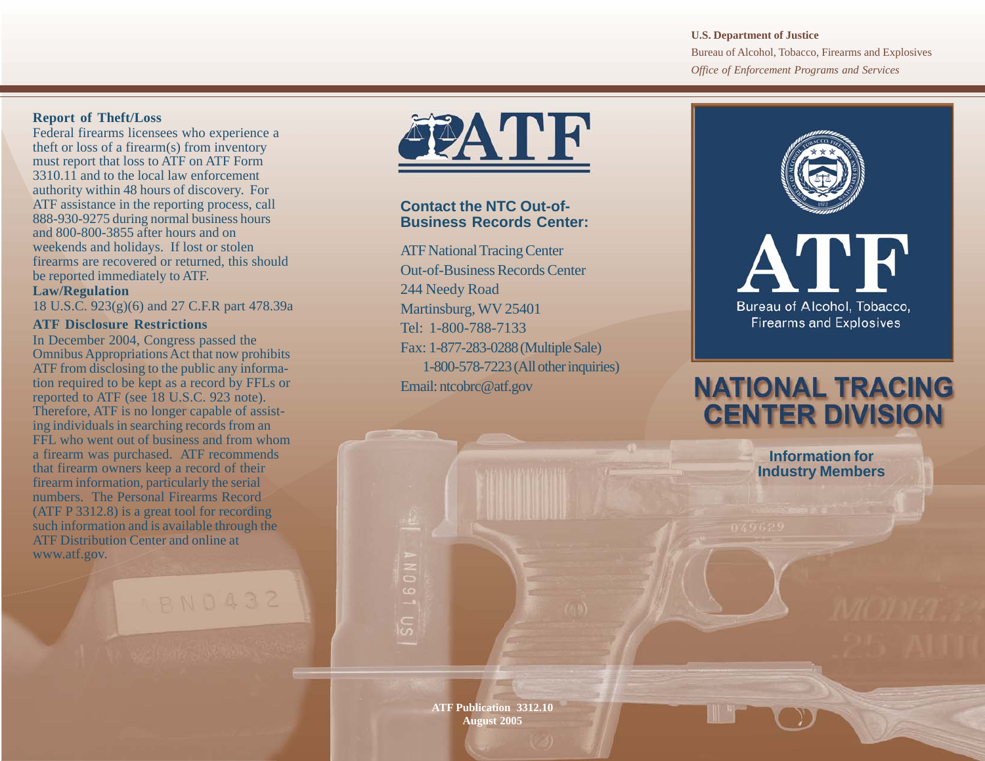#### **U.S. Department of Justice**

Bureau of Alcohol, Tobacco, Firearms and Explosives *Office of Enforcement Programs and Services*

#### **Report of Theft/Loss**

Federal firearms licensees who experience a theft or loss of a firearm(s) from inventory must report that loss to ATF on ATF Form 3310.11 and to the local law enforcement authority within 48 hours of discovery. For ATF assistance in the reporting process, call 888-930-9275 during normal business hours and 800-800-3855 after hours and on weekends and holidays. If lost or stolen firearms are recovered or returned, this should be reported immediately to ATF.

## **Law/Regulation**

18 U.S.C. 923(g)(6) and 27 C.F.R part 478.39a

#### **ATF Disclosure Restrictions**

In December 2004, Congress passed the Omnibus Appropriations Act that now prohibits ATF from disclosing to the public any information required to be kept as a record by FFLs or reported to ATF (see 18 U.S.C. 923 note). Therefore, ATF is no longer capable of assisting individuals in searching records from an FFL who went out of business and from whom a firearm was purchased. ATF recommends that firearm owners keep a record of their firearm information, particularly the serial numbers. The Personal Firearms Record (ATF P 3312.8) is a great tool for recording such information and is available through the ATF Distribution Center and online at www.atf.gov.

# **BN0432**



# **Contact the NTC Out-of-Business Records Center:**

ATF National Tracing Center Out-of-Business Records Center 244 Needy Road Martinsburg, WV 25401 Tel: 1-800-788-7133 Fax: 1-877-283-0288 (Multiple Sale) 1-800-578-7223 (All other inquiries) Email: ntcobrc@atf.gov



# ATF Bureau of Alcohol. Tobacco. **Firearms and Explosives**

# **NATIONAL TRACING CENTER DIVISION**

**Information for Industry Members**

**ATF Publication 3312.10 August 2005**